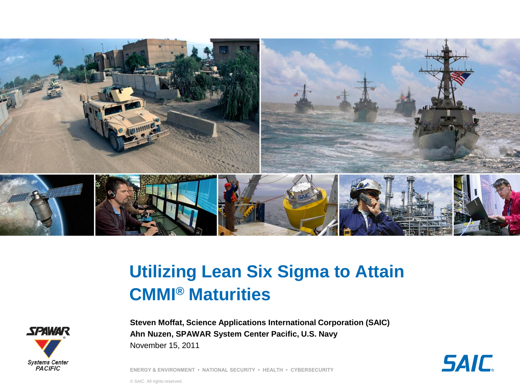

# **Utilizing Lean Six Sigma to Attain CMMI® Maturities**



**Steven Moffat, Science Applications International Corporation (SAIC) Ahn Nuzen, SPAWAR System Center Pacific, U.S. Navy** November 15, 2011

**SAIC** 

**ENERGY & ENVIRONMENT • NATIONAL SECURITY • HEALTH • CYBERSECURITY**

© SAIC. All rights reserved.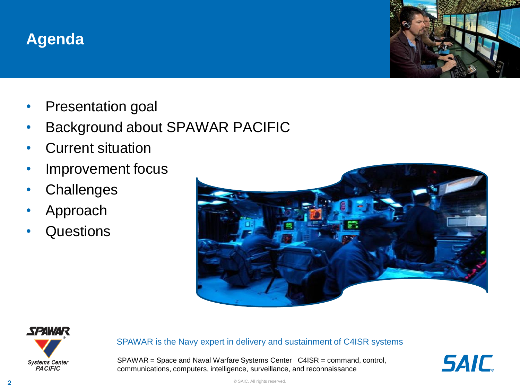#### **Agenda**



- Presentation goal
- Background about SPAWAR PACIFIC
- Current situation
- Improvement focus
- **Challenges**
- Approach
- **Questions**





#### SPAWAR is the Navy expert in delivery and sustainment of C4ISR systems

SPAWAR = Space and Naval Warfare Systems Center C4ISR = command, control, communications, computers, intelligence, surveillance, and reconnaissance



© SAIC. All rights reserved.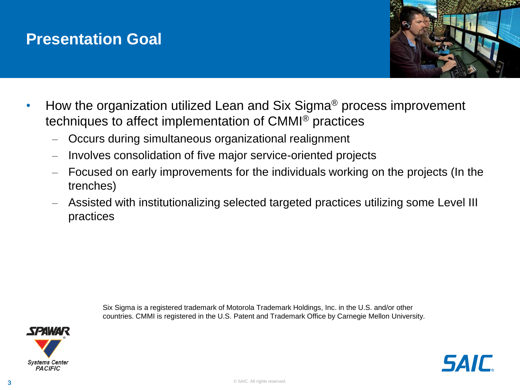#### **Presentation Goal**



- How the organization utilized Lean and Six Sigma® process improvement techniques to affect implementation of CMMI® practices
	- Occurs during simultaneous organizational realignment
	- Involves consolidation of five major service-oriented projects
	- Focused on early improvements for the individuals working on the projects (In the trenches)
	- Assisted with institutionalizing selected targeted practices utilizing some Level III practices

Six Sigma is a registered trademark of Motorola Trademark Holdings, Inc. in the U.S. and/or other countries. CMMI is registered in the U.S. Patent and Trademark Office by Carnegie Mellon University.

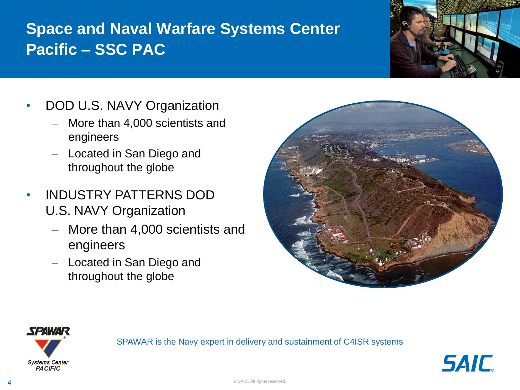## **Space and Naval Warfare Systems Center Pacific – SSC PAC**



- DOD U.S. NAVY Organization
	- More than 4,000 scientists and engineers
	- Located in San Diego and throughout the globe
- INDUSTRY PATTERNS DOD U.S. NAVY Organization
	- More than 4,000 scientists and engineers
	- Located in San Diego and throughout the globe





SPAWAR is the Navy expert in delivery and sustainment of C4ISR systems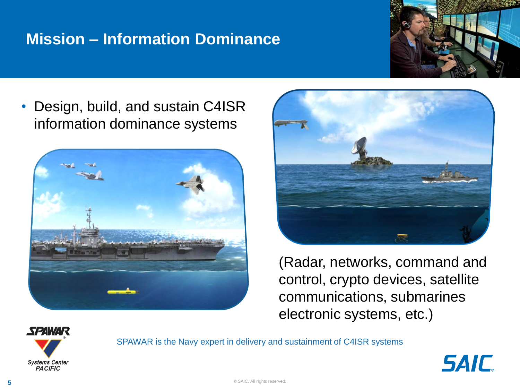#### **Mission – Information Dominance**



• Design, build, and sustain C4ISR information dominance systems





(Radar, networks, command and control, crypto devices, satellite communications, submarines electronic systems, etc.)



SPAWAR is the Navy expert in delivery and sustainment of C4ISR systems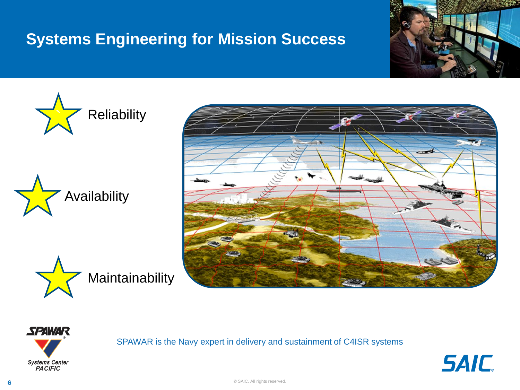#### **Systems Engineering for Mission Success**













SPAWAR is the Navy expert in delivery and sustainment of C4ISR systems

**SAIC**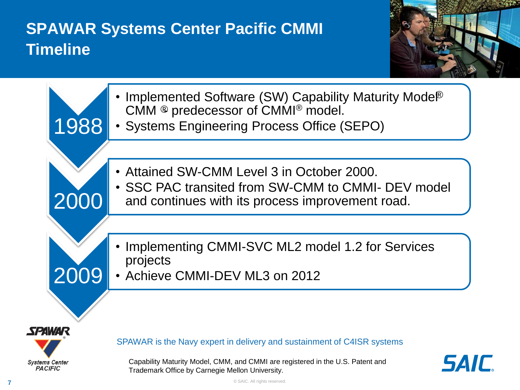## **SPAWAR Systems Center Pacific CMMI Timeline**



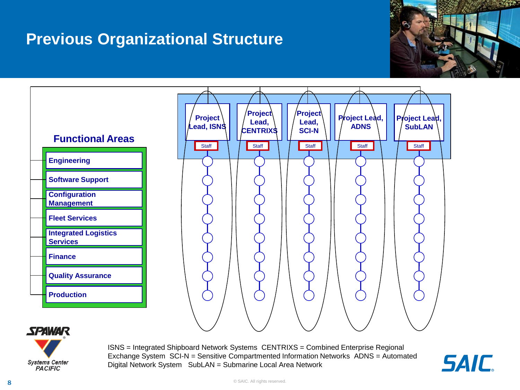#### **Previous Organizational Structure**







ISNS = Integrated Shipboard Network Systems CENTRIXS = Combined Enterprise Regional Exchange System SCI-N = Sensitive Compartmented Information Networks ADNS = Automated Digital Network System SubLAN = Submarine Local Area Network

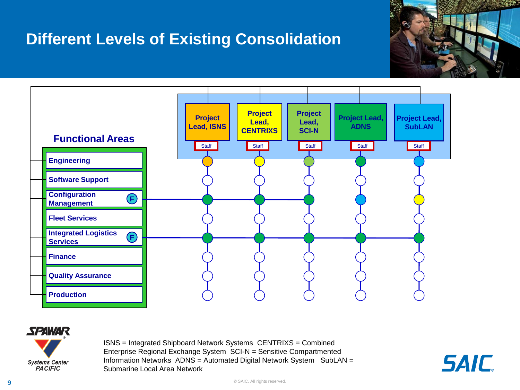#### **Different Levels of Existing Consolidation**







ISNS = Integrated Shipboard Network Systems CENTRIXS = Combined Enterprise Regional Exchange System SCI-N = Sensitive Compartmented Information Networks ADNS = Automated Digital Network System SubLAN = Submarine Local Area Network

*SAIC*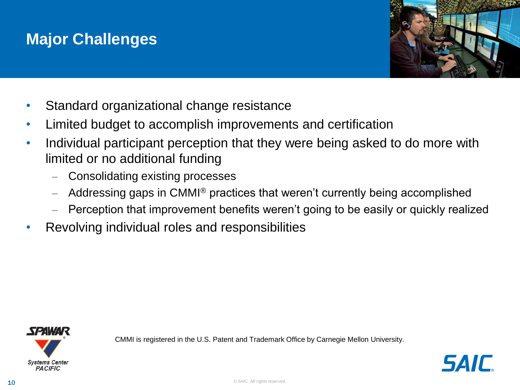#### **Major Challenges**



- Standard organizational change resistance
- Limited budget to accomplish improvements and certification
- Individual participant perception that they were being asked to do more with limited or no additional funding
	- Consolidating existing processes
	- $-$  Addressing gaps in CMMI<sup>®</sup> practices that weren't currently being accomplished
	- Perception that improvement benefits weren't going to be easily or quickly realized
- Revolving individual roles and responsibilities



CMMI is registered in the U.S. Patent and Trademark Office by Carnegie Mellon University.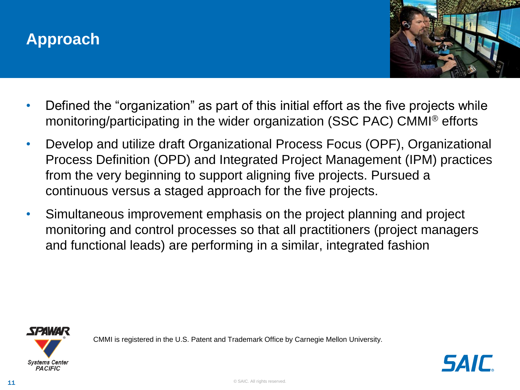#### **Approach**



- Defined the "organization" as part of this initial effort as the five projects while monitoring/participating in the wider organization (SSC PAC) CMMI® efforts
- Develop and utilize draft Organizational Process Focus (OPF), Organizational Process Definition (OPD) and Integrated Project Management (IPM) practices from the very beginning to support aligning five projects. Pursued a continuous versus a staged approach for the five projects.
- Simultaneous improvement emphasis on the project planning and project monitoring and control processes so that all practitioners (project managers and functional leads) are performing in a similar, integrated fashion



CMMI is registered in the U.S. Patent and Trademark Office by Carnegie Mellon University.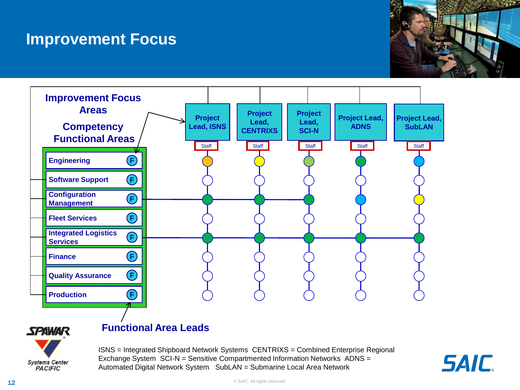#### **Improvement Focus**







ISNS = Integrated Shipboard Network Systems CENTRIXS = Combined Enterprise Regional Exchange System SCI-N = Sensitive Compartmented Information Networks ADNS = Automated Digital Network System SubLAN = Submarine Local Area Network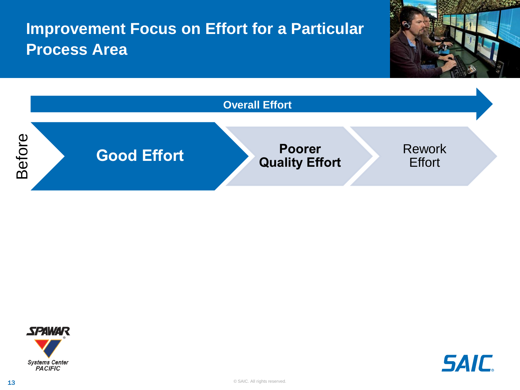





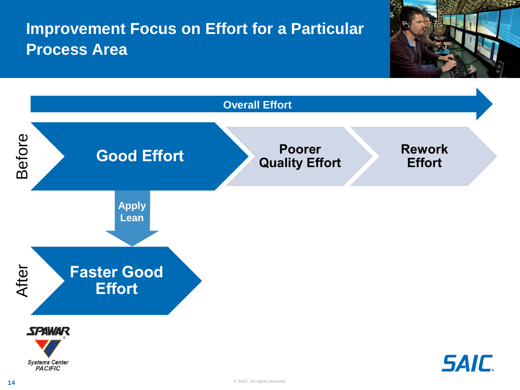

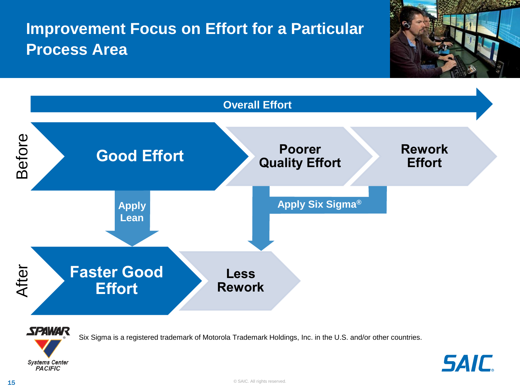



Six Sigma is a registered trademark of Motorola Trademark Holdings, Inc. in the U.S. and/or other countries.



**SAIC**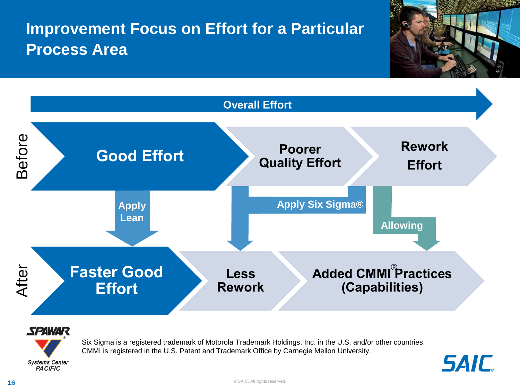





Six Sigma is a registered trademark of Motorola Trademark Holdings, Inc. in the U.S. and/or other countries. CMMI is registered in the U.S. Patent and Trademark Office by Carnegie Mellon University.

**Systems Center PACIFIC** 

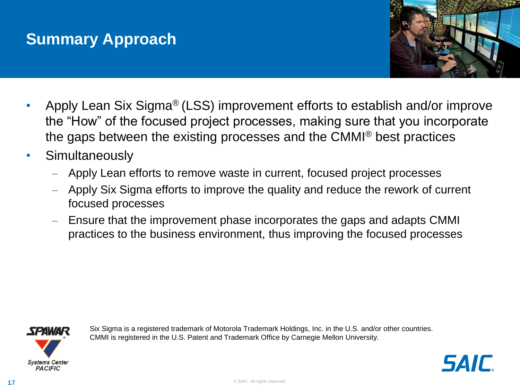#### **Summary Approach**



- Apply Lean Six Sigma® (LSS) improvement efforts to establish and/or improve the "How" of the focused project processes, making sure that you incorporate the gaps between the existing processes and the CMMI® best practices
- Simultaneously
	- Apply Lean efforts to remove waste in current, focused project processes
	- Apply Six Sigma efforts to improve the quality and reduce the rework of current focused processes
	- Ensure that the improvement phase incorporates the gaps and adapts CMMI practices to the business environment, thus improving the focused processes



Six Sigma is a registered trademark of Motorola Trademark Holdings, Inc. in the U.S. and/or other countries. CMMI is registered in the U.S. Patent and Trademark Office by Carnegie Mellon University.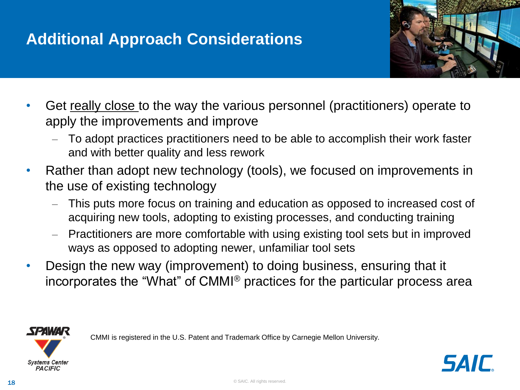#### **Additional Approach Considerations**



- Get really close to the way the various personnel (practitioners) operate to apply the improvements and improve
	- To adopt practices practitioners need to be able to accomplish their work faster and with better quality and less rework
- Rather than adopt new technology (tools), we focused on improvements in the use of existing technology
	- This puts more focus on training and education as opposed to increased cost of acquiring new tools, adopting to existing processes, and conducting training
	- Practitioners are more comfortable with using existing tool sets but in improved ways as opposed to adopting newer, unfamiliar tool sets
- Design the new way (improvement) to doing business, ensuring that it incorporates the "What" of CMMI® practices for the particular process area

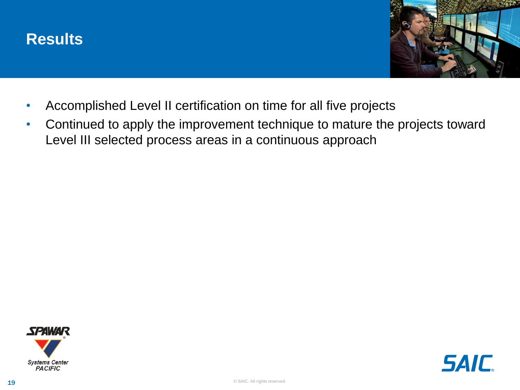



- Accomplished Level II certification on time for all five projects
- Continued to apply the improvement technique to mature the projects toward Level III selected process areas in a continuous approach